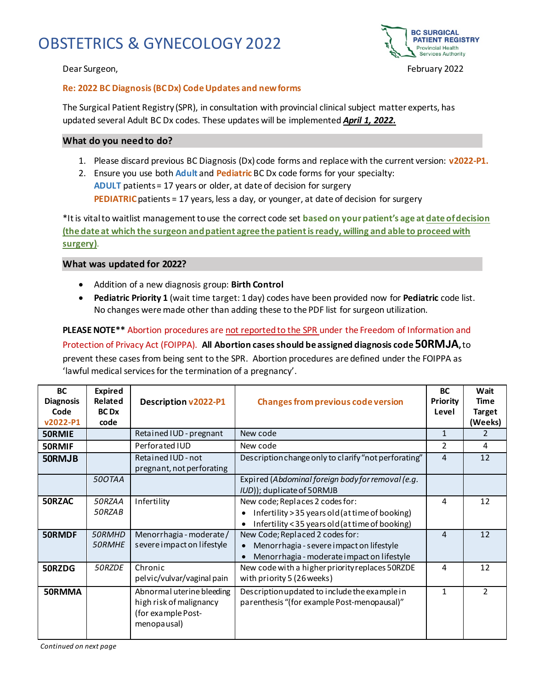# OBSTETRICS & GYNECOLOGY 2022





#### **Re: 2022 BC Diagnosis (BC Dx) Code Updates and new forms**

The Surgical Patient Registry (SPR), in consultation with provincial clinical subject matter experts, has updated several Adult BC Dx codes. These updates will be implemented *April 1, 2022.*

#### **What do you need to do?**

- 1. Please discard previous BC Diagnosis (Dx) code forms and replace with the current version: **v2022-P1.**
- 2. Ensure you use both **Adult** and **Pediatric** BC Dx code forms for your specialty: **ADULT** patients = 17 years or older, at date of decision for surgery **PEDIATRIC**patients = 17 years, less a day, or younger, at date of decision for surgery

\*It is vital to waitlist management to use the correct code set **based on your patient's age at date of decision (the date at which the surgeon and patient agree the patient is ready, willing and able to proceed with surgery)**.

#### **What was updated for 2022?**

- Addition of a new diagnosis group: **Birth Control**
- **Pediatric Priority 1** (wait time target: 1 day) codes have been provided now for **Pediatric** code list. No changes were made other than adding these to the PDF list for surgeon utilization.

**PLEASE NOTE\*\*** Abortion procedures are not reported to the SPR under the Freedom of Information and

#### Protection of Privacy Act (FOIPPA). **All Abortion cases should be assigned diagnosis code 50RMJA,**to

prevent these cases from being sent to the SPR. Abortion procedures are defined under the FOIPPA as 'lawful medical services for the termination of a pregnancy'.

| <b>BC</b><br><b>Diagnosis</b><br>Code<br>v2022-P1 | <b>Expired</b><br>Related<br><b>BC</b> D <sub>x</sub><br>code | Description v2022-P1                                                                      | <b>Changes from previous code version</b>                                                                                             | <b>BC</b><br>Priority<br>Level | Wait<br>Time<br><b>Target</b><br>(Weeks) |
|---------------------------------------------------|---------------------------------------------------------------|-------------------------------------------------------------------------------------------|---------------------------------------------------------------------------------------------------------------------------------------|--------------------------------|------------------------------------------|
| <b>50RMIE</b>                                     |                                                               | Retained IUD - pregnant                                                                   | New code                                                                                                                              | 1                              | $\mathcal{P}$                            |
| 50RMIF                                            |                                                               | Perforated IUD                                                                            | New code                                                                                                                              | $\overline{2}$                 | 4                                        |
| 50RMJB                                            |                                                               | Retained IUD - not<br>pregnant, not perforating                                           | Description change only to clarify "not perforating"                                                                                  | $\overline{4}$                 | 12                                       |
|                                                   | 500TAA                                                        |                                                                                           | Expired (Abdominal foreign body for removal (e.g.<br>IUD)); duplicate of 50RMJB                                                       |                                |                                          |
| 50RZAC                                            | 50RZAA<br>50RZAB                                              | Infertility                                                                               | New code; Replaces 2 codes for:<br>Infertility > 35 years old (at time of booking)<br>Infertility < 35 years old (at time of booking) | 4                              | 12                                       |
| 50RMDF                                            | 50RMHD<br>50RMHE                                              | Menorrhagia - moderate /<br>severe impact on lifestyle                                    | New Code; Replaced 2 codes for:<br>Menorrhagia - severe impact on lifestyle<br>Menorrhagia - moderate impact on lifestyle             | 4                              | 12                                       |
| 50RZDG                                            | 50RZDE                                                        | Chronic<br>pel vic/vulvar/vaginal pain                                                    | New code with a higher priority replaces 50RZDE<br>with priority 5 (26 weeks)                                                         | 4                              | 12                                       |
| 50RMMA                                            |                                                               | Abnormal uterine bleeding<br>high risk of malignancy<br>(for example Post-<br>menopausal) | Description updated to include the example in<br>parenthesis "(for example Post-menopausal)"                                          | $\mathbf{1}$                   | $\mathcal{P}$                            |

*Continued on next page*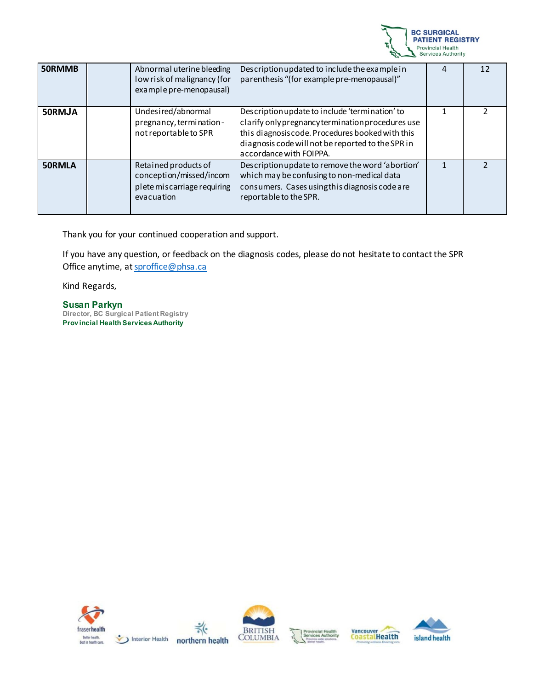

| 50RMMB        | Abnormal uterine bleeding<br>low risk of malignancy (for<br>example pre-menopausal)          | Description updated to include the example in<br>parenthesis "(for example pre-menopausal)"                                                                                                                                             |  |
|---------------|----------------------------------------------------------------------------------------------|-----------------------------------------------------------------------------------------------------------------------------------------------------------------------------------------------------------------------------------------|--|
| 50RMJA        | Undesired/abnormal<br>pregnancy, termination-<br>not reportable to SPR                       | Description update to include 'termination' to<br>clarify only pregnancy termination procedures use<br>this diagnosis code. Procedures booked with this<br>diagnosis code will not be reported to the SPR in<br>accordance with FOIPPA. |  |
| <b>50RMLA</b> | Retained products of<br>conception/missed/incom<br>plete miscarriage requiring<br>evacuation | Description update to remove the word 'abortion'<br>which may be confusing to non-medical data<br>consumers. Cases using this diagnosis code are<br>reportable to the SPR.                                                              |  |

Thank you for your continued cooperation and support.

If you have any question, or feedback on the diagnosis codes, please do not hesitate to contact the SPR Office anytime, a[t sproffice@phsa.ca](mailto:sproffice@phsa.ca)

Kind Regards,

**Susan Parkyn Director, BC Surgical Patient Registry Prov incial Health Services Authority**

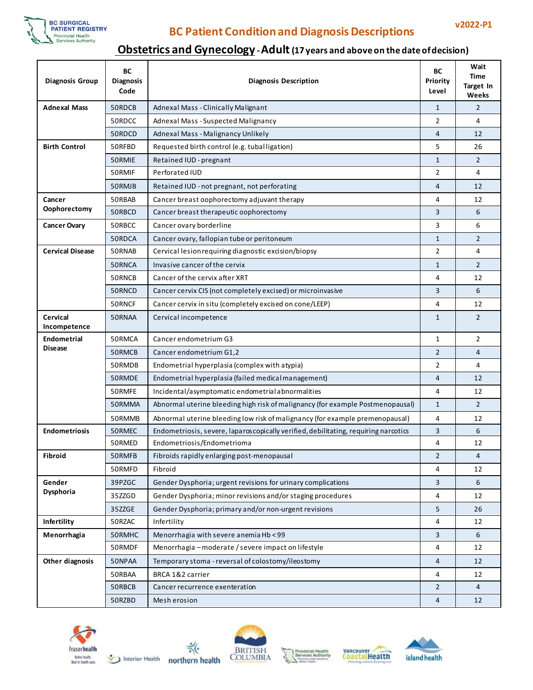

### **v2022-P1 BC Patient Condition and Diagnosis Descriptions**

### **Obstetrics and Gynecology -Adult (17 years and above on the date of decision)**

| <b>Diagnosis Group</b>          | ВC<br><b>Diagnosis</b><br>Code                         | Priority<br><b>Diagnosis Description</b>                                            |                | Wait<br>Time<br>Target In<br>Weeks |
|---------------------------------|--------------------------------------------------------|-------------------------------------------------------------------------------------|----------------|------------------------------------|
| <b>Adnexal Mass</b>             | 50RDCB                                                 | Adnexal Mass - Clinically Malignant                                                 | $\mathbf{1}$   | 2                                  |
|                                 | 50RDCC                                                 | Adnexal Mass - Suspected Malignancy                                                 | 2              | 4                                  |
|                                 | 50RDCD                                                 | Adnexal Mass - Malignancy Unlikely                                                  | 4              | 12                                 |
| <b>Birth Control</b>            | 50RFBD<br>Requested birth control (e.g. tuballigation) |                                                                                     | 5              | 26                                 |
|                                 | 50RMIE                                                 | Retained IUD - pregnant                                                             | $\mathbf{1}$   | 2                                  |
|                                 | 50RMIF                                                 | Perforated IUD                                                                      | 2              | 4                                  |
|                                 | 50RMJB                                                 | Retained IUD - not pregnant, not perforating                                        | 4              | 12                                 |
| Cancer                          | 50RBAB                                                 | Cancer breast oophorectomy adjuvant therapy                                         | 4              | 12                                 |
| Oophorectomy                    | 50RBCD                                                 | Cancer breast therapeutic oophorectomy                                              | 3              | 6                                  |
| <b>Cancer Ovary</b>             | 50RBCC                                                 | Cancer ovary borderline                                                             | 3              | 6                                  |
|                                 | 50RDCA                                                 | Cancer ovary, fallopian tube or peritoneum                                          | $\mathbf{1}$   | $\overline{2}$                     |
| <b>Cervical Disease</b>         | 50RNAB                                                 | Cervical lesion requiring diagnostic excision/biopsy                                | $\overline{2}$ | 4                                  |
|                                 | 50RNCA                                                 | Invasive cancer of the cervix                                                       | $\mathbf{1}$   | $\overline{2}$                     |
|                                 | 50RNCB                                                 | Cancer of the cervix after XRT                                                      | 4              | 12                                 |
|                                 | 50RNCD                                                 | Cancer cervix CIS (not completely excised) or microinvasive                         | 3              | 6                                  |
|                                 | 50RNCF                                                 | Cancer cervix in situ (completely excised on cone/LEEP)                             | 4              | 12                                 |
| <b>Cervical</b><br>Incompetence | 50RNAA                                                 | Cervical incompetence                                                               | $\mathbf{1}$   | $\overline{2}$                     |
| <b>Endometrial</b>              | 50RMCA                                                 | Cancer endometrium G3                                                               | 1              | $\overline{2}$                     |
| <b>Disease</b>                  | 50RMCB                                                 | Cancer endometrium G1,2                                                             | $\overline{2}$ | 4                                  |
|                                 | 50RMDB                                                 | Endometrial hyperplasia (complex with atypia)                                       | 2              | 4                                  |
|                                 | 50RMDE                                                 | Endometrial hyperplasia (failed medical management)                                 | $\overline{4}$ | 12                                 |
|                                 | 50RMFE                                                 | Incidental/asymptomatic endometrial abnormalities                                   | 4              | 12                                 |
|                                 | 50RMMA                                                 | Abnormal uterine bleeding high risk of malignancy (for example Postmenopausal)      | $\mathbf{1}$   | $\overline{2}$                     |
|                                 | 50RMMB                                                 | Abnormal uterine bleeding low risk of malignancy (for example premenopausal)        | 4              | 12                                 |
| <b>Endometriosis</b>            | 50RMEC                                                 | Endometriosis, severe, laparoscopically verified, debilitating, requiring narcotics | 3              | 6                                  |
|                                 | 50RMED                                                 | Endometriosis/Endometrioma                                                          | 4              | 12                                 |
| Fibroid                         | 50RMFB                                                 | Fibroids rapidly enlarging post-menopausal                                          | $\overline{2}$ | 4                                  |
|                                 | 50RMFD                                                 | Fibroid                                                                             | 4              | 12                                 |
| Gender                          | 39PZGC                                                 | Gender Dysphoria; urgent revisions for urinary complications                        | 3              | 6                                  |
| Dysphoria                       | 35ZZGD                                                 | Gender Dysphoria; minor revisions and/or staging procedures                         | 4              | 12                                 |
|                                 | 35ZZGE                                                 | Gender Dysphoria; primary and/or non-urgent revisions                               | 5              | 26                                 |
| Infertility                     | 50RZAC                                                 | Infertility                                                                         | 4              | 12                                 |
| Menorrhagia                     | 50RMHC                                                 | Menorrhagia with severe anemia Hb <99                                               | 3              | 6                                  |
|                                 | 50RMDF                                                 | Menorrhagia - moderate / severe impact on lifestyle                                 | 4              | 12                                 |
| Other diagnosis                 | 50NPAA                                                 | Temporary stoma - reversal of colostomy/ileostomy                                   | 4              | 12                                 |
|                                 | 50RBAA                                                 | BRCA 1&2 carrier                                                                    | 4              | 12                                 |
|                                 | 50RBCB                                                 | Cancer recurrence exenteration                                                      | $\overline{2}$ | $\overline{4}$                     |
|                                 | 50RZBD                                                 | Mesh erosion                                                                        | 4              | 12                                 |











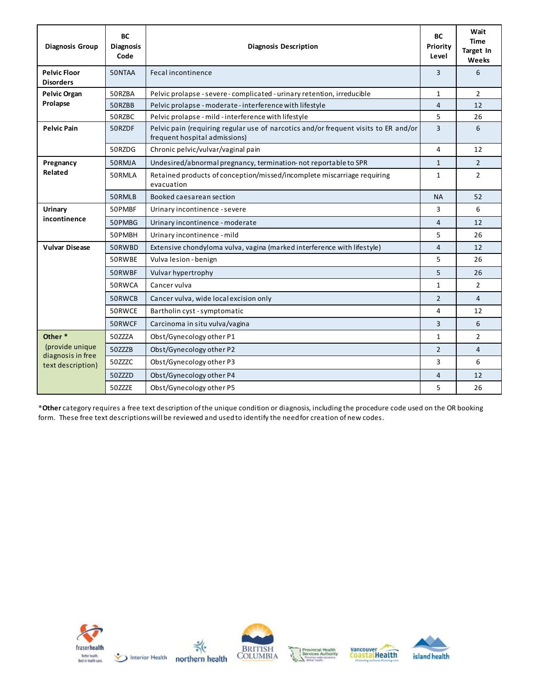| <b>Diagnosis Group</b>                                    | <b>BC</b><br><b>Diagnosis</b><br>Code | <b>Diagnosis Description</b>                                                                                         | ВC<br>Priority<br>Level | Wait<br><b>Time</b><br>Target In<br>Weeks |
|-----------------------------------------------------------|---------------------------------------|----------------------------------------------------------------------------------------------------------------------|-------------------------|-------------------------------------------|
| <b>Pelvic Floor</b><br><b>Disorders</b>                   | 50NTAA                                | Fecal incontinence                                                                                                   | 3                       | 6                                         |
| <b>Pelvic Organ</b>                                       | 50RZBA                                | Pelvic prolapse - severe - complicated - urinary retention, irreducible                                              | 1                       | $\overline{2}$                            |
| Prolapse                                                  | 50RZBB                                | Pelvic prolapse - moderate - interference with lifestyle                                                             | 4                       | 12                                        |
|                                                           | 50RZBC                                | Pelvic prolapse - mild - interference with lifestyle                                                                 | 5                       | 26                                        |
| <b>Pelvic Pain</b>                                        | 50RZDF                                | Pelvic pain (requiring regular use of narcotics and/or frequent visits to ER and/or<br>frequent hospital admissions) | 3                       | 6                                         |
|                                                           | 50RZDG                                | Chronic pelvic/vulvar/vaginal pain                                                                                   | 4                       | 12                                        |
| Pregnancy                                                 | 50RMJA                                | Undesired/abnormal pregnancy, termination-not reportable to SPR                                                      | $\mathbf{1}$            | $\overline{2}$                            |
| Related                                                   | 50RMLA                                | Retained products of conception/missed/incomplete miscarriage requiring<br>evacuation                                | $\mathbf{1}$            | $\overline{2}$                            |
|                                                           | 50RMLB                                | Booked caesarean section                                                                                             | <b>NA</b>               | 52                                        |
| Urinary<br>incontinence                                   | 50PMBF                                | Urinary incontinence - severe                                                                                        | 3                       | 6                                         |
|                                                           | 50PMBG                                | Urinary incontinence - moderate                                                                                      | $\overline{4}$          | 12                                        |
|                                                           | 50PMBH                                | Urinary incontinence - mild                                                                                          | 5                       | 26                                        |
| <b>Vulvar Disease</b>                                     | 50RWBD                                | Extensive chondyloma vulva, vagina (marked interference with lifestyle)                                              | $\overline{4}$          | 12                                        |
|                                                           | 50RWBE                                | Vulva lesion - benign                                                                                                | 5                       | 26                                        |
|                                                           | 50RWBF                                | Vulvar hypertrophy                                                                                                   | 5                       | 26                                        |
|                                                           | 50RWCA                                | Cancer vulva                                                                                                         | $\mathbf{1}$            | $\overline{2}$                            |
|                                                           | 50RWCB                                | Cancer vulva, wide local excision only                                                                               | $\overline{2}$          | 4                                         |
|                                                           | 50RWCE                                | Bartholin cyst - symptomatic                                                                                         | 4                       | 12                                        |
|                                                           | 50RWCF                                | Carcinoma in situ vulva/vagina                                                                                       | 3                       | 6                                         |
| Other*                                                    | 50ZZZA                                | Obst/Gynecology other P1                                                                                             | $\mathbf{1}$            | $\mathcal{P}$                             |
| (provide unique<br>diagnosis in free<br>text description) | 50ZZZB                                | Obst/Gynecology other P2                                                                                             | 2                       | $\overline{4}$                            |
|                                                           | 50ZZZC                                | Obst/Gynecology other P3                                                                                             | 3                       | 6                                         |
|                                                           | 50ZZZD                                | Obst/Gynecology other P4                                                                                             | 4                       | 12                                        |
|                                                           | 50ZZZE                                | Obst/Gynecology other P5                                                                                             | 5                       | 26                                        |

\***Other** category requires a free text description of the unique condition or diagnosis, including the procedure code used on the OR booking form. These free text descriptions will be reviewed and used to identify the need for creation of new codes.









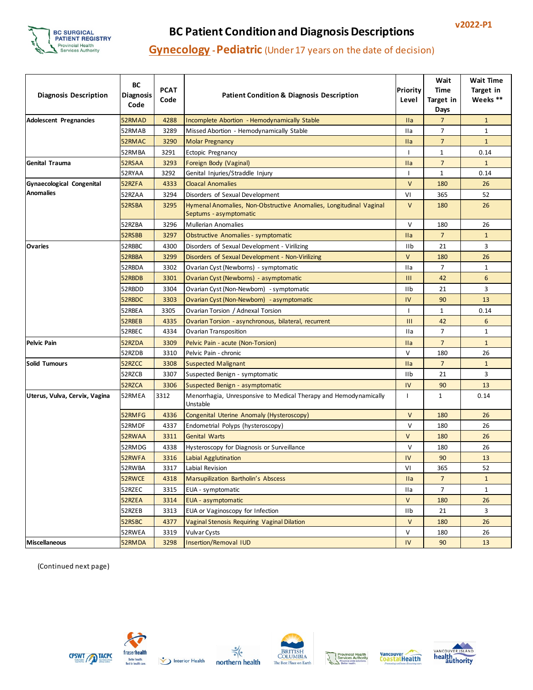

# **v2022-P1 BC Patient Condition and Diagnosis Descriptions**

### **Gynecology -Pediatric** (Under 17 years on the date of decision)

| <b>Diagnosis Description</b>     | BC<br><b>Diagnosis</b><br>Code | <b>PCAT</b><br>Code | <b>Patient Condition &amp; Diagnosis Description</b>                                         | Priority<br>Level | Wait<br>Time<br>Target in<br>Days | Wait Time<br>Target in<br>Weeks ** |
|----------------------------------|--------------------------------|---------------------|----------------------------------------------------------------------------------------------|-------------------|-----------------------------------|------------------------------------|
| <b>Adolescent Pregnancies</b>    | 52RMAD                         | 4288                | <b>Incomplete Abortion - Hemodynamically Stable</b>                                          | <b>Ila</b>        | 7                                 | $\mathbf{1}$                       |
|                                  | 52RMAB                         | 3289                | Missed Abortion - Hemodynamically Stable                                                     | IIa               | 7                                 | $\mathbf{1}$                       |
|                                  | 52RMAC                         | 3290                | <b>Molar Pregnancy</b>                                                                       | <b>Ila</b>        | $\overline{7}$                    | $\mathbf{1}$                       |
|                                  | 52RMBA                         | 3291                | Ectopic Pregnancy                                                                            | L                 | $\mathbf{1}$                      | 0.14                               |
| <b>Genital Trauma</b>            | 52RSAA                         | 3293                | Foreign Body (Vaginal)                                                                       | <b>Ila</b>        | $\overline{7}$                    | $\mathbf{1}$                       |
|                                  | 52RYAA                         | 3292                | Genital Injuries/Straddle Injury                                                             | L                 | $\mathbf{1}$                      | 0.14                               |
| <b>Gynaecological Congenital</b> | 52RZFA                         | 4333                | <b>Cloacal Anomalies</b>                                                                     | $\mathsf{V}$      | 180                               | 26                                 |
| <b>Anomalies</b>                 | 52RZAA                         | 3294                | Disorders of Sexual Development                                                              | VI                | 365                               | 52                                 |
|                                  | 52RSBA                         | 3295                | Hymenal Anomalies, Non-Obstructive Anomalies, Longitudinal Vaginal<br>Septums - asymptomatic | $\vee$            | 180                               | 26                                 |
|                                  | 52RZBA                         | 3296                | <b>Mullerian Anomalies</b>                                                                   | $\vee$            | 180                               | 26                                 |
|                                  | 52RSBB                         | 3297                | <b>Obstructive Anomalies - symptomatic</b>                                                   | <b>Ila</b>        | $\overline{7}$                    | $\mathbf{1}$                       |
| <b>Ovaries</b>                   | 52RBBC                         | 4300                | Disorders of Sexual Development - Virilizing                                                 | IIb               | 21                                | 3                                  |
|                                  | 52RBBA                         | 3299                | Disorders of Sexual Development - Non-Virilizing                                             | $\vee$            | 180                               | 26                                 |
|                                  | 52RBDA                         | 3302                | Ovarian Cyst (Newborns) - symptomatic                                                        | IIa               | 7                                 | $\mathbf{1}$                       |
|                                  | 52RBDB                         | 3301                | Ovarian Cyst (Newborns) - asymptomatic                                                       | $\mathbf{III}$    | 42                                | 6                                  |
|                                  | 52RBDD                         | 3304                | Ovarian Cyst (Non-Newborn) - symptomatic                                                     | IIb               | 21                                | 3                                  |
|                                  | 52RBDC                         | 3303                | Ovarian Cyst (Non-Newborn) - asymptomatic                                                    | IV                | 90                                | 13                                 |
|                                  | 52RBEA                         | 3305                | Ovarian Torsion / Adnexal Torsion                                                            | L                 | $\mathbf{1}$                      | 0.14                               |
|                                  | 52RBEB                         | 4335                | Ovarian Torsion - asynchronous, bilateral, recurrent                                         | Ш                 | 42                                | 6                                  |
|                                  | 52RBEC                         | 4334                | Ovarian Transposition                                                                        | IIa               | 7                                 | $\mathbf{1}$                       |
| <b>Pelvic Pain</b>               | 52RZDA                         | 3309                | Pelvic Pain - acute (Non-Torsion)                                                            | <b>Ila</b>        | $\overline{7}$                    | $\mathbf{1}$                       |
|                                  | 52RZDB                         | 3310                | Pelvic Pain - chronic                                                                        | V                 | 180                               | 26                                 |
| Solid Tumours                    | 52RZCC                         | 3308                | <b>Suspected Malignant</b>                                                                   | <b>Ila</b>        | $\overline{7}$                    | $\mathbf{1}$                       |
|                                  | 52RZCB                         | 3307                | Suspected Benign - symptomatic                                                               | IIb               | 21                                | 3                                  |
|                                  | 52RZCA                         | 3306                | Suspected Benign - asymptomatic                                                              | IV                | 90                                | 13                                 |
| Uterus, Vulva, Cervix, Vagina    | 52RMEA                         | 3312                | Menorrhagia, Unresponsive to Medical Therapy and Hemodynamically<br>Unstable                 | $\mathbf{I}$      | $\mathbf{1}$                      | 0.14                               |
|                                  | 52RMFG                         | 4336                | Congenital Uterine Anomaly (Hysteroscopy)                                                    | $\vee$            | 180                               | 26                                 |
|                                  | 52RMDF                         | 4337                | Endometrial Polyps (hysteroscopy)                                                            | $\vee$            | 180                               | 26                                 |
|                                  | 52RWAA                         | 3311                | <b>Genital Warts</b>                                                                         | $\vee$            | 180                               | 26                                 |
|                                  | 52RMDG                         | 4338                | Hysteroscopy for Diagnosis or Surveillance                                                   | v                 | 180                               | 26                                 |
|                                  | 52RWFA                         | 3316                | Labial Agglutination                                                                         | IV                | 90                                | 13                                 |
|                                  | 52RWBA                         | 3317                | Labial Revision                                                                              | VI                | 365                               | 52                                 |
|                                  | 52RWCE                         | 4318                | Marsupilization Bartholin's Abscess                                                          | <b>Ila</b>        | $\overline{7}$                    | $\mathbf{1}$                       |
|                                  | 52RZEC                         | 3315                | EUA - symptomatic                                                                            | IIa               | $\overline{7}$                    | $\mathbf{1}$                       |
|                                  | 52RZEA                         | 3314                | <b>EUA</b> - asymptomatic                                                                    | $\vee$            | 180                               | 26                                 |
|                                  | 52RZEB                         | 3313                | EUA or Vaginoscopy for Infection                                                             | IIb               | 21                                | 3                                  |
|                                  | 52RSBC                         | 4377                | <b>Vaginal Stenosis Requiring Vaginal Dilation</b>                                           | V                 | 180                               | 26                                 |
|                                  | 52RWEA                         | 3319                | Vulvar Cysts                                                                                 | V                 | 180                               | 26                                 |
| <b>Miscellaneous</b>             | 52RMDA                         | 3298                | <b>Insertion/Removal IUD</b>                                                                 | IV                | 90                                | 13                                 |

(Continued next page)